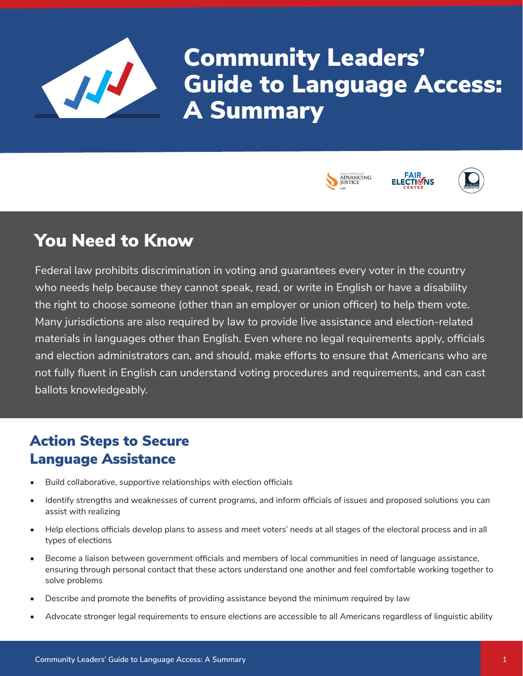

Community Leaders' Guide to Language Access: A Summary







# You Need to Know

Federal law prohibits discrimination in voting and guarantees every voter in the country who needs help because they cannot speak, read, or write in English or have a disability the right to choose someone (other than an employer or union officer) to help them vote. Many jurisdictions are also required by law to provide live assistance and election-related materials in languages other than English. Even where no legal requirements apply, officials and election administrators can, and should, make efforts to ensure that Americans who are not fully fluent in English can understand voting procedures and requirements, and can cast ballots knowledgeably.

# Action Steps to Secure Language Assistance

- Build collaborative, supportive relationships with election officials
- Identify strengths and weaknesses of current programs, and inform officials of issues and proposed solutions you can assist with realizing
- Help elections officials develop plans to assess and meet voters' needs at all stages of the electoral process and in all types of elections
- Become a liaison between government officials and members of local communities in need of language assistance, ensuring through personal contact that these actors understand one another and feel comfortable working together to solve problems
- Describe and promote the benefits of providing assistance beyond the minimum required by law
- Advocate stronger legal requirements to ensure elections are accessible to all Americans regardless of linguistic ability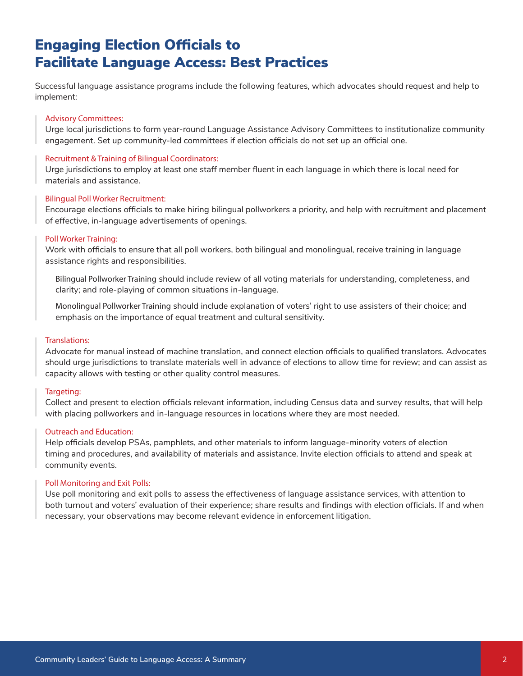# Engaging Election Officials to Facilitate Language Access: Best Practices

Successful language assistance programs include the following features, which advocates should request and help to implement:

## Advisory Committees:

Urge local jurisdictions to form year-round Language Assistance Advisory Committees to institutionalize community engagement. Set up community-led committees if election officials do not set up an official one.

### Recruitment & Training of Bilingual Coordinators:

Urge jurisdictions to employ at least one staff member fluent in each language in which there is local need for materials and assistance.

#### Bilingual Poll Worker Recruitment:

Encourage elections officials to make hiring bilingual pollworkers a priority, and help with recruitment and placement of effective, in-language advertisements of openings.

## Poll Worker Training:

Work with officials to ensure that all poll workers, both bilingual and monolingual, receive training in language assistance rights and responsibilities.

Bilingual Pollworker Training should include review of all voting materials for understanding, completeness, and clarity; and role-playing of common situations in-language.

Monolingual Pollworker Training should include explanation of voters' right to use assisters of their choice; and emphasis on the importance of equal treatment and cultural sensitivity.

#### Translations:

Advocate for manual instead of machine translation, and connect election officials to qualified translators. Advocates should urge jurisdictions to translate materials well in advance of elections to allow time for review; and can assist as capacity allows with testing or other quality control measures.

#### Targeting:

Collect and present to election officials relevant information, including Census data and survey results, that will help with placing pollworkers and in-language resources in locations where they are most needed.

## Outreach and Education:

Help officials develop PSAs, pamphlets, and other materials to inform language-minority voters of election timing and procedures, and availability of materials and assistance. Invite election officials to attend and speak at community events.

#### Poll Monitoring and Exit Polls:

Use poll monitoring and exit polls to assess the effectiveness of language assistance services, with attention to both turnout and voters' evaluation of their experience; share results and findings with election officials. If and when necessary, your observations may become relevant evidence in enforcement litigation.